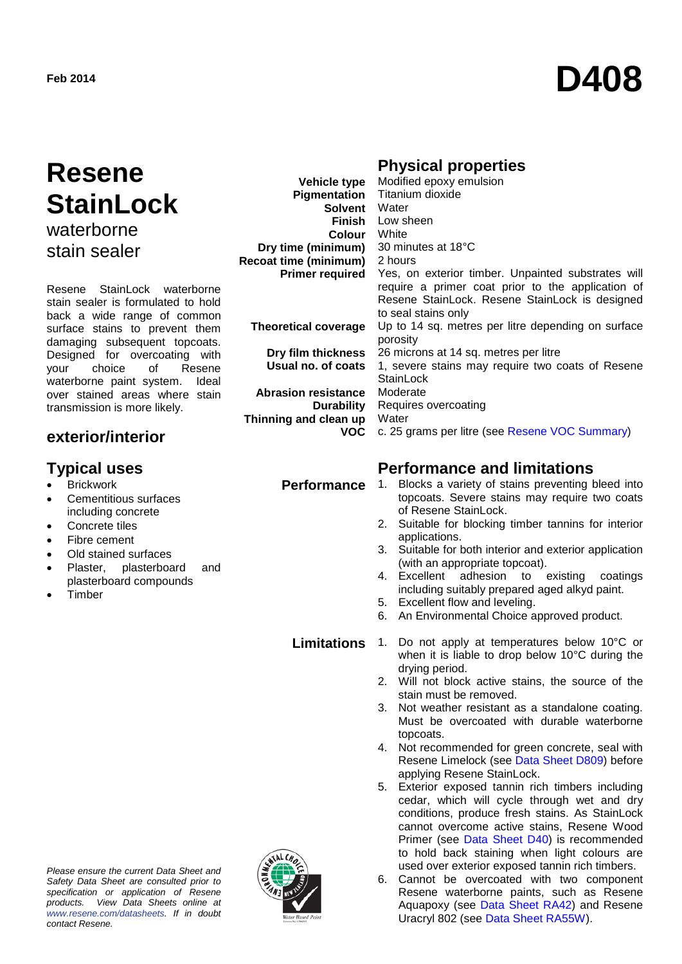# **Feb 2014 D408**

## **Resene StainLock** waterborne

stain sealer

Resene StainLock waterborne stain sealer is formulated to hold back a wide range of common surface stains to prevent them damaging subsequent topcoats. Designed for overcoating with<br>your choice of Resene choice waterborne paint system. Ideal over stained areas where stain transmission is more likely.

## **exterior/interior**

- **Brickwork**
- Cementitious surfaces including concrete
- Concrete tiles
- Fibre cement
- Old stained surfaces
- Plaster, plasterboard and plasterboard compounds
- **Timber**



| <b>Physical properties</b> |
|----------------------------|
|                            |

| <b>Vehicle type</b>          | Modified epoxy emulsion                                                                                                                                   |
|------------------------------|-----------------------------------------------------------------------------------------------------------------------------------------------------------|
|                              | Pigmentation Titanium dioxide                                                                                                                             |
| <b>Solvent</b> Water         |                                                                                                                                                           |
|                              | Finish Low sheen                                                                                                                                          |
| <b>Colour</b> White          |                                                                                                                                                           |
| Dry time (minimum)           | 30 minutes at 18°C                                                                                                                                        |
| <b>Recoat time (minimum)</b> | 2 hours                                                                                                                                                   |
| <b>Primer required</b>       | Yes, on exterior timber. Unpainted substrates will<br>require a primer coat prior to the application of<br>Resene StainLock. Resene StainLock is designed |
|                              | to seal stains only                                                                                                                                       |
| <b>Theoretical coverage</b>  | Up to 14 sq. metres per litre depending on surface<br>porosity                                                                                            |
| Dry film thickness           | 26 microns at 14 sq. metres per litre                                                                                                                     |
| Usual no. of coats           | 1, severe stains may require two coats of Resene<br>StainLock                                                                                             |
| <b>Abrasion resistance</b>   | Moderate                                                                                                                                                  |
| Durability                   | Requires overcoating                                                                                                                                      |
| Thinning and clean up        | Water                                                                                                                                                     |
| VOC.                         | c. 25 grams per litre (see Resene VOC Summary)                                                                                                            |

## **Typical uses**<br>**Performance** 1. Blocks a variety of stains preventing the Reformance 2. Blocks a variety of stains preventing to **Performance**

- **Performance** 1. Blocks a variety of stains preventing bleed into topcoats. Severe stains may require two coats of Resene StainLock.
	- 2. Suitable for blocking timber tannins for interior applications.
	- 3. Suitable for both interior and exterior application (with an appropriate topcoat).<br>Excellent adhesion to existing coatings
	- 4. Excellent adhesion to including suitably prepared aged alkyd paint.
	- 5. Excellent flow and leveling.
	- 6. An Environmental Choice approved product.
	- **Limitations** 1. Do not apply at temperatures below 10°C or when it is liable to drop below 10°C during the drying period.
		- 2. Will not block active stains, the source of the stain must be removed.
		- 3. Not weather resistant as a standalone coating. Must be overcoated with durable waterborne topcoats.
		- 4. Not recommended for green concrete, seal with Resene Limelock (see [Data Sheet D809\)](http://www.resene.co.nz/archspec/datashts/d809_Limelock_Cure_&_Seal.pdf) before applying Resene StainLock.
		- 5. Exterior exposed tannin rich timbers including cedar, which will cycle through wet and dry conditions, produce fresh stains. As StainLock cannot overcome active stains, Resene Wood Primer (see [Data Sheet D40\)](http://www.resene.co.nz/archspec/datashts/d40_Wood_Primer.pdf) is recommended to hold back staining when light colours are used over exterior exposed tannin rich timbers.
		- 6. Cannot be overcoated with two component Resene waterborne paints, such as Resene Aquapoxy (see [Data Sheet RA42\)](http://www.resene.co.nz/archspec/datasheets/ra42-Aquapoxy-WB-Epoxy.pdf) and Resene Uracryl 802 (see [Data Sheet RA55W\)](http://www.resene.co.nz/archspec/datasheets/ra55w-WB-Uracryl-802.pdf).